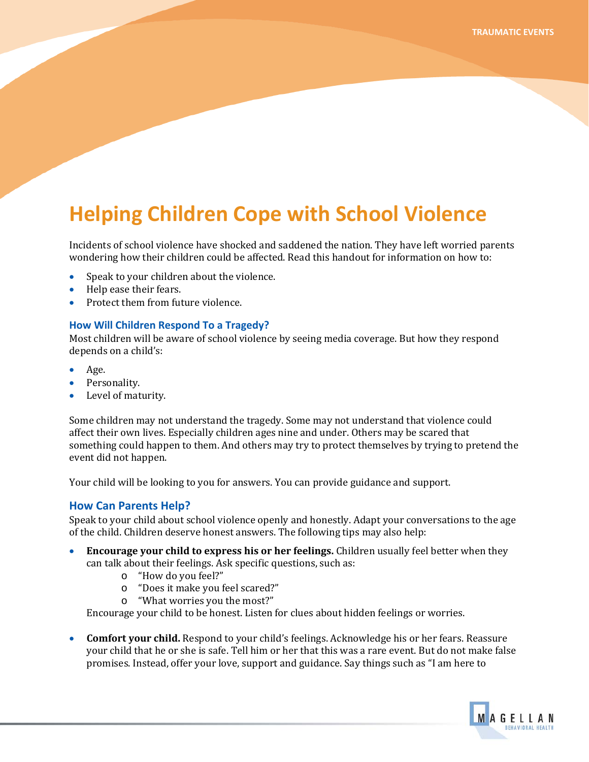## **Helping Children Cope with School Violence**

Incidents of school violence have shocked and saddened the nation. They have left worried parents wondering how their children could be affected. Read this handout for information on how to:

- Speak to your children about the violence.
- Help ease their fears. •
- Protect them from future violence.

## **How Will Children Respond To a Tragedy?**

Most children will be aware of school violence by seeing media coverage. But how they respond depends on a child's:

- Age.
- Personality.
- Level of maturity.

Some children may not understand the tragedy. Some may not understand that violence could affect their own lives. Especially children ages nine and under. Others may be scared that something could happen to them. And others may try to protect themselves by trying to pretend the event did not happen.

Your child will be looking to you for answers. You can provide guidance and support.

## **How Can Parents Help?**

Speak to your child about school violence openly and honestly. Adapt your conversations to the age of the child. Children deserve honest answers. The following tips may also help:

- **Encourage your child to express his or her feelings.** Children usually feel better when they can talk about their feelings. Ask specific questions, such as:
	- o "How do you feel?"
	- o "Does it make you feel scared?"
	- o "What worries you the most?"

Encourage your child to be honest. Listen for clues about hidden feelings or worries.

• **Comfort your child.** Respond to your child's feelings. Acknowledge his or her fears. Reassure your child that he or she is safe. Tell him or her that this was a rare event. But do not make false promises. Instead, offer your love, support and guidance. Say things such as "I am here to